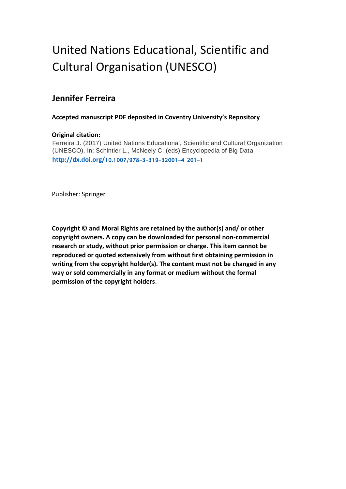# United Nations Educational, Scientific and Cultural Organisation (UNESCO)

## **Jennifer Ferreira**

### **Accepted manuscript PDF deposited in Coventry University's Repository**

### **Original citation:**

Ferreira J. (2017) United Nations Educational, Scientific and Cultural Organization (UNESCO). In: Schintler L., McNeely C. (eds) Encyclopedia of Big Data **http://dx.doi.org/**[10.1007/978-3-319-32001-4\\_201-1](http://dx.doi.org/10.1007/978-3-319-32001-4_67-1)

Publisher: Springer

**Copyright © and Moral Rights are retained by the author(s) and/ or other copyright owners. A copy can be downloaded for personal non-commercial research or study, without prior permission or charge. This item cannot be reproduced or quoted extensively from without first obtaining permission in writing from the copyright holder(s). The content must not be changed in any way or sold commercially in any format or medium without the formal permission of the copyright holders**.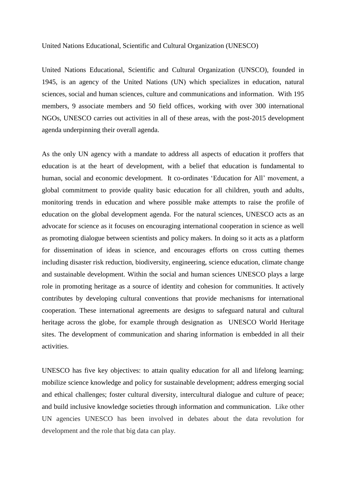#### United Nations Educational, Scientific and Cultural Organization (UNESCO)

United Nations Educational, Scientific and Cultural Organization (UNSCO), founded in 1945, is an agency of the United Nations (UN) which specializes in education, natural sciences, social and human sciences, culture and communications and information. With 195 members, 9 associate members and 50 field offices, working with over 300 international NGOs, UNESCO carries out activities in all of these areas, with the post-2015 development agenda underpinning their overall agenda.

As the only UN agency with a mandate to address all aspects of education it proffers that education is at the heart of development, with a belief that education is fundamental to human, social and economic development. It co-ordinates 'Education for All' movement, a global commitment to provide quality basic education for all children, youth and adults, monitoring trends in education and where possible make attempts to raise the profile of education on the global development agenda. For the natural sciences, UNESCO acts as an advocate for science as it focuses on encouraging international cooperation in science as well as promoting dialogue between scientists and policy makers. In doing so it acts as a platform for dissemination of ideas in science, and encourages efforts on cross cutting themes including disaster risk reduction, biodiversity, engineering, science education, climate change and sustainable development. Within the social and human sciences UNESCO plays a large role in promoting heritage as a source of identity and cohesion for communities. It actively contributes by developing cultural conventions that provide mechanisms for international cooperation. These international agreements are designs to safeguard natural and cultural heritage across the globe, for example through designation as UNESCO World Heritage sites. The development of communication and sharing information is embedded in all their activities.

UNESCO has five key objectives: to attain quality education for all and lifelong learning; mobilize science knowledge and policy for sustainable development; address emerging social and ethical challenges; foster cultural diversity, intercultural dialogue and culture of peace; and build inclusive knowledge societies through information and communication. Like other UN agencies UNESCO has been involved in debates about the data revolution for development and the role that big data can play.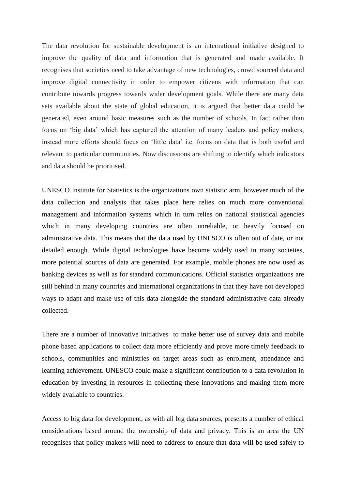The data revolution for sustainable development is an international initiative designed to improve the quality of data and information that is generated and made available. It recognises that societies need to take advantage of new technologies, crowd sourced data and improve digital connectivity in order to empower citizens with information that can contribute towards progress towards wider development goals. While there are many data sets available about the state of global education, it is argued that better data could be generated, even around basic measures such as the number of schools. In fact rather than focus on 'big data' which has captured the attention of many leaders and policy makers, instead more efforts should focus on 'little data' i.e. focus on data that is both useful and relevant to particular communities. Now discussions are shifting to identify which indicators and data should be prioritised.

UNESCO Institute for Statistics is the organizations own statistic arm, however much of the data collection and analysis that takes place here relies on much more conventional management and information systems which in turn relies on national statistical agencies which in many developing countries are often unreliable, or heavily focused on administrative data. This means that the data used by UNESCO is often out of date, or not detailed enough. While digital technologies have become widely used in many societies, more potential sources of data are generated. For example, mobile phones are now used as banking devices as well as for standard communications. Official statistics organizations are still behind in many countries and international organizations in that they have not developed ways to adapt and make use of this data alongside the standard administrative data already collected.

There are a number of innovative initiatives to make better use of survey data and mobile phone based applications to collect data more efficiently and prove more timely feedback to schools, communities and ministries on target areas such as enrolment, attendance and learning achievement. UNESCO could make a significant contribution to a data revolution in education by investing in resources in collecting these innovations and making them more widely available to countries.

Access to big data for development, as with all big data sources, presents a number of ethical considerations based around the ownership of data and privacy. This is an area the UN recognises that policy makers will need to address to ensure that data will be used safely to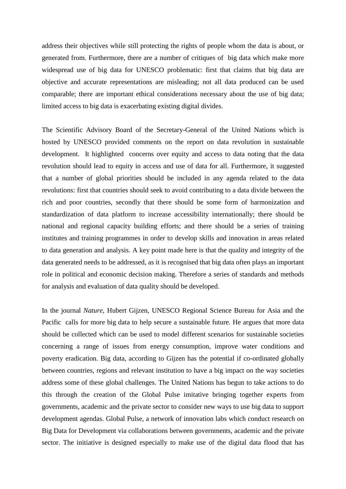address their objectives while still protecting the rights of people whom the data is about, or generated from. Furthermore, there are a number of critiques of big data which make more widespread use of big data for UNESCO problematic: first that claims that big data are objective and accurate representations are misleading; not all data produced can be used comparable; there are important ethical considerations necessary about the use of big data; limited access to big data is exacerbating existing digital divides.

The Scientific Advisory Board of the Secretary-General of the United Nations which is hosted by UNESCO provided comments on the report on data revolution in sustainable development. It highlighted concerns over equity and access to data noting that the data revolution should lead to equity in access and use of data for all. Furthermore, it suggested that a number of global priorities should be included in any agenda related to the data revolutions: first that countries should seek to avoid contributing to a data divide between the rich and poor countries, secondly that there should be some form of harmonization and standardization of data platform to increase accessibility internationally; there should be national and regional capacity building efforts; and there should be a series of training institutes and training programmes in order to develop skills and innovation in areas related to data generation and analysis. A key point made here is that the quality and integrity of the data generated needs to be addressed, as it is recognised that big data often plays an important role in political and economic decision making. Therefore a series of standards and methods for analysis and evaluation of data quality should be developed.

In the journal *Nature*, Hubert Gijzen, UNESCO Regional Science Bureau for Asia and the Pacific calls for more big data to help secure a sustainable future. He argues that more data should be collected which can be used to model different scenarios for sustainable societies concerning a range of issues from energy consumption, improve water conditions and poverty eradication. Big data, according to Gijzen has the potential if co-ordinated globally between countries, regions and relevant institution to have a big impact on the way societies address some of these global challenges. The United Nations has begun to take actions to do this through the creation of the Global Pulse imitative bringing together experts from governments, academic and the private sector to consider new ways to use big data to support development agendas. Global Pulse, a network of innovation labs which conduct research on Big Data for Development via collaborations between governments, academic and the private sector. The initiative is designed especially to make use of the digital data flood that has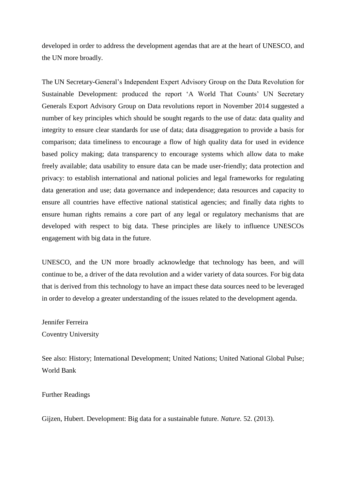developed in order to address the development agendas that are at the heart of UNESCO, and the UN more broadly.

The UN Secretary-General's Independent Expert Advisory Group on the Data Revolution for Sustainable Development: produced the report 'A World That Counts' UN Secretary Generals Export Advisory Group on Data revolutions report in November 2014 suggested a number of key principles which should be sought regards to the use of data: data quality and integrity to ensure clear standards for use of data; data disaggregation to provide a basis for comparison; data timeliness to encourage a flow of high quality data for used in evidence based policy making; data transparency to encourage systems which allow data to make freely available; data usability to ensure data can be made user-friendly; data protection and privacy: to establish international and national policies and legal frameworks for regulating data generation and use; data governance and independence; data resources and capacity to ensure all countries have effective national statistical agencies; and finally data rights to ensure human rights remains a core part of any legal or regulatory mechanisms that are developed with respect to big data. These principles are likely to influence UNESCOs engagement with big data in the future.

UNESCO, and the UN more broadly acknowledge that technology has been, and will continue to be, a driver of the data revolution and a wider variety of data sources. For big data that is derived from this technology to have an impact these data sources need to be leveraged in order to develop a greater understanding of the issues related to the development agenda.

## Jennifer Ferreira Coventry University

See also: History; International Development; United Nations; United National Global Pulse; World Bank

#### Further Readings

Gijzen, Hubert. Development: Big data for a sustainable future. *Nature.* 52. (2013).